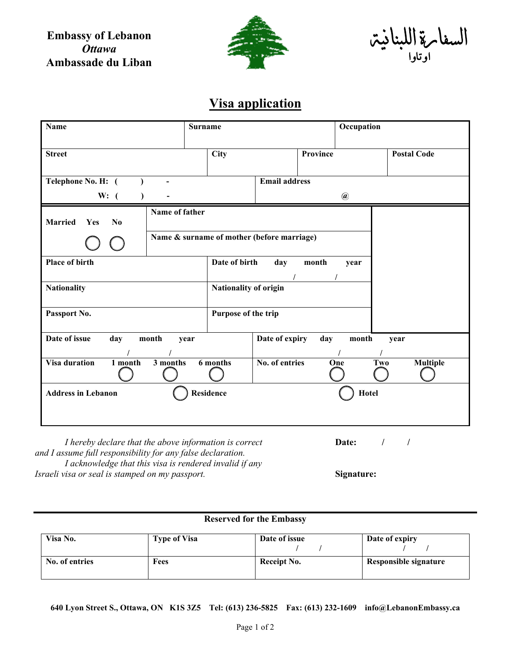**Embassy of Lebanon** *Ottawa* **Ambassade du Liban**



السفارة اللبنانية اوتاوا

## **Visa application**

| <b>Name</b>                                                                                                           | <b>Surname</b>                             |                                     | Occupation   |                        |
|-----------------------------------------------------------------------------------------------------------------------|--------------------------------------------|-------------------------------------|--------------|------------------------|
| <b>Street</b>                                                                                                         | <b>City</b>                                | Province                            |              | <b>Postal Code</b>     |
| Telephone No. H: (<br>W: (                                                                                            |                                            | <b>Email address</b><br>$\circleda$ |              |                        |
| Name of father<br>Married<br>N <sub>0</sub><br>Yes                                                                    |                                            |                                     |              |                        |
|                                                                                                                       | Name & surname of mother (before marriage) |                                     |              |                        |
| Place of birth                                                                                                        | Date of birth                              | day<br>month                        | year         |                        |
| <b>Nationality</b>                                                                                                    |                                            | Nationality of origin               |              |                        |
| Passport No.                                                                                                          | Purpose of the trip                        |                                     |              |                        |
| Date of issue<br>day<br>month                                                                                         | year                                       | Date of expiry<br>day               | month        | year                   |
| <b>Visa duration</b><br>$1$ month<br>3 months                                                                         | 6 months                                   | No. of entries                      | One          | <b>Multiple</b><br>Two |
| <b>Address in Lebanon</b>                                                                                             | <b>Residence</b>                           |                                     | <b>Hotel</b> |                        |
| I hereby declare that the above information is correct<br>and I assume full responsibility for any false declaration. |                                            |                                     | Date:        | $\prime$               |

*I acknowledge that this visa is rendered invalid if any Israeli visa or seal is stamped on my passport.* **Signature: Signature:** 

## **Reserved for the Embassy**

| Visa No.       | Type of Visa | Date of issue | Date of expiry        |
|----------------|--------------|---------------|-----------------------|
| No. of entries | Fees         | Receipt No.   | Responsible signature |

**640 Lyon Street S., Ottawa, ON K1S 3Z5 Tel: (613) 236-5825 Fax: (613) 232-1609 info@LebanonEmbassy.ca**